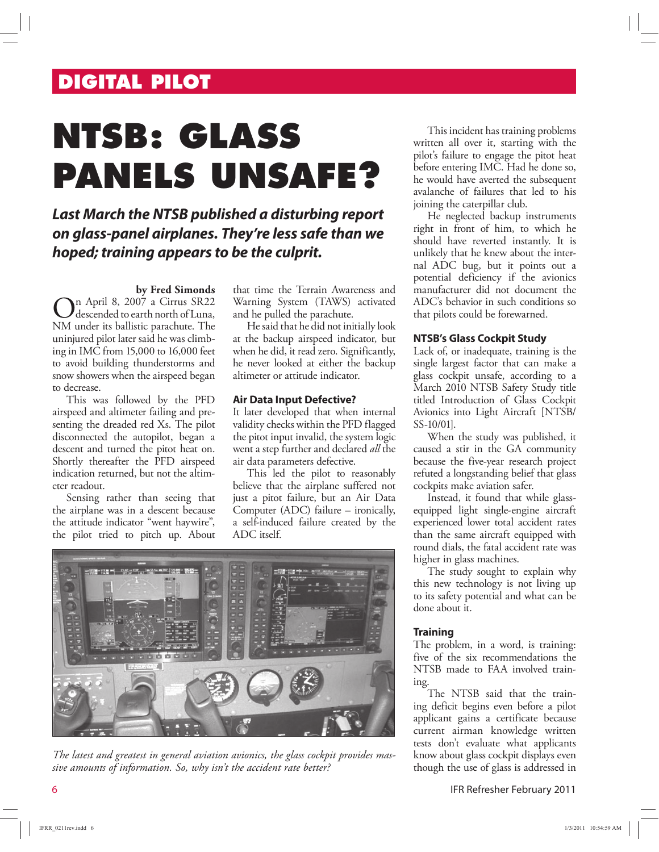# **DIGITAL PILOT**

# **NTSB: GLASS PANELS UNSAFE?**

### **Last March the NTSB published a disturbing report on glass-panel airplanes. They're less safe than we hoped; training appears to be the culprit.**

### **by Fred Simonds**

On April 8, 2007 a Cirrus SR22<br>NM under its ballistic parachute. The n April 8, 2007 a Cirrus SR22 descended to earth north of Luna, uninjured pilot later said he was climbing in IMC from 15,000 to 16,000 feet to avoid building thunderstorms and snow showers when the airspeed began to decrease.

This was followed by the PFD airspeed and altimeter failing and presenting the dreaded red Xs. The pilot disconnected the autopilot, began a descent and turned the pitot heat on. Shortly thereafter the PFD airspeed indication returned, but not the altimeter readout.

Sensing rather than seeing that the airplane was in a descent because the attitude indicator "went haywire", the pilot tried to pitch up. About that time the Terrain Awareness and Warning System (TAWS) activated and he pulled the parachute.

He said that he did not initially look at the backup airspeed indicator, but when he did, it read zero. Significantly, he never looked at either the backup altimeter or attitude indicator.

### **Air Data Input Defective?**

It later developed that when internal validity checks within the PFD flagged the pitot input invalid, the system logic went a step further and declared *all* the air data parameters defective.

This led the pilot to reasonably believe that the airplane suffered not just a pitot failure, but an Air Data Computer (ADC) failure – ironically, a self-induced failure created by the ADC itself.



*The latest and greatest in general aviation avionics, the glass cockpit provides massive amounts of information. So, why isn't the accident rate better?* 

This incident has training problems written all over it, starting with the pilot's failure to engage the pitot heat before entering IMC. Had he done so, he would have averted the subsequent avalanche of failures that led to his joining the caterpillar club.

He neglected backup instruments right in front of him, to which he should have reverted instantly. It is unlikely that he knew about the internal ADC bug, but it points out a potential deficiency if the avionics manufacturer did not document the ADC's behavior in such conditions so that pilots could be forewarned.

### **NTSB's Glass Cockpit Study**

Lack of, or inadequate, training is the single largest factor that can make a glass cockpit unsafe, according to a March 2010 NTSB Safety Study title titled Introduction of Glass Cockpit Avionics into Light Aircraft [NTSB/ SS-10/01].

When the study was published, it caused a stir in the GA community because the five-year research project refuted a longstanding belief that glass cockpits make aviation safer.

Instead, it found that while glassequipped light single-engine aircraft experienced lower total accident rates than the same aircraft equipped with round dials, the fatal accident rate was higher in glass machines.

The study sought to explain why this new technology is not living up to its safety potential and what can be done about it.

### **Training**

The problem, in a word, is training: five of the six recommendations the NTSB made to FAA involved training.

The NTSB said that the training deficit begins even before a pilot applicant gains a certificate because current airman knowledge written tests don't evaluate what applicants know about glass cockpit displays even though the use of glass is addressed in

6 IFR Refresher February 2011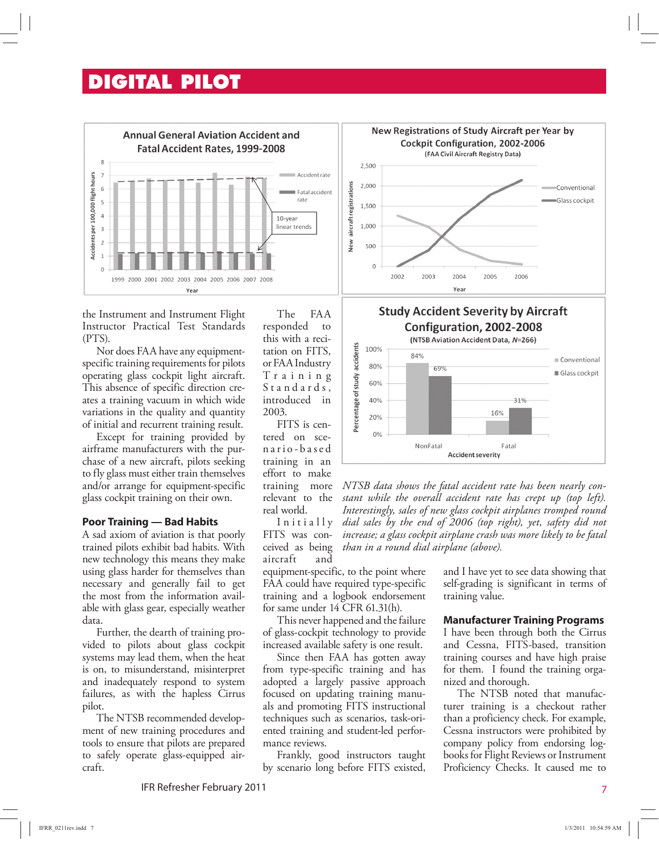### **DIGITAL PILOT**



the Instrument and Instrument Flight Instructor Practical Test Standards (PTS).

Nor does FAA have any equipmentspecific training requirements for pilots operating glass cockpit light aircraft. This absence of specific direction creates a training vacuum in which wide variations in the quality and quantity of initial and recurrent training result.

Except for training provided by airframe manufacturers with the purchase of a new aircraft, pilots seeking to fly glass must either train themselves and/or arrange for equipment-specific glass cockpit training on their own.

### **Poor Training — Bad Habits**

A sad axiom of aviation is that poorly trained pilots exhibit bad habits. With new technology this means they make using glass harder for themselves than necessary and generally fail to get the most from the information available with glass gear, especially weather data.

Further, the dearth of training provided to pilots about glass cockpit systems may lead them, when the heat is on, to misunderstand, misinterpret and inadequately respond to system failures, as with the hapless Cirrus pilot.

The NTSB recommended development of new training procedures and tools to ensure that pilots are prepared to safely operate glass-equipped aircraft.

The FAA responded to this with a recitation on FITS, or FAA Industry T r a i n i n g S t a n d a r d s , introduced in 2003.

FITS is centered on scen a r i o - b a s e d training in an effort to make training more relevant to the real world.

Initially FITS was conceived as being aircraft and

equipment-specific, to the point where FAA could have required type-specific training and a logbook endorsement for same under 14 CFR 61.31(h).

This never happened and the failure of glass-cockpit technology to provide increased available safety is one result.

Since then FAA has gotten away from type-specific training and has adopted a largely passive approach focused on updating training manuals and promoting FITS instructional techniques such as scenarios, task-oriented training and student-led performance reviews.

Frankly, good instructors taught by scenario long before FITS existed,

IFR Refresher February 2011 7







*NTSB data shows the fatal accident rate has been nearly constant while the overall accident rate has crept up (top left). Interestingly, sales of new glass cockpit airplanes tromped round dial sales by the end of 2006 (top right), yet, safety did not increase; a glass cockpit airplane crash was more likely to be fatal than in a round dial airplane (above).*

> and I have yet to see data showing that self-grading is significant in terms of training value.

### **Manufacturer Training Programs**

I have been through both the Cirrus and Cessna, FITS-based, transition training courses and have high praise for them. I found the training organized and thorough.

The NTSB noted that manufacturer training is a checkout rather than a proficiency check. For example, Cessna instructors were prohibited by company policy from endorsing logbooks for Flight Reviews or Instrument Proficiency Checks. It caused me to